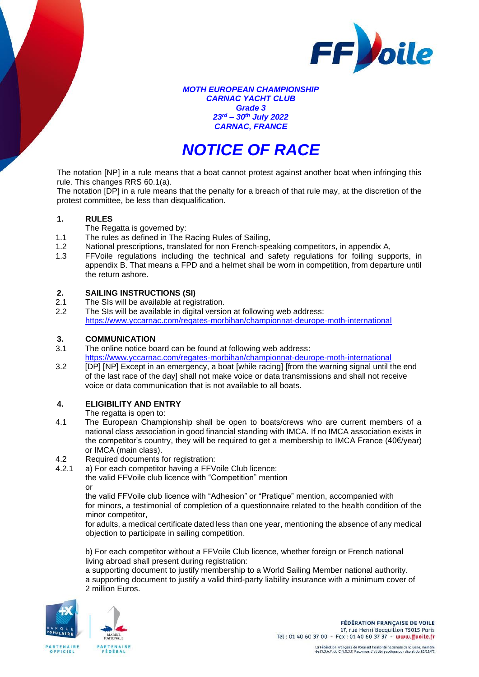

*MOTH EUROPEAN CHAMPIONSHIP CARNAC YACHT CLUB Grade 3 23rd – 30th July 2022 CARNAC, FRANCE*

# *NOTICE OF RACE*

The notation [NP] in a rule means that a boat cannot protest against another boat when infringing this rule. This changes RRS 60.1(a).

The notation [DP] in a rule means that the penalty for a breach of that rule may, at the discretion of the protest committee, be less than disqualification.

# **1. RULES**

The Regatta is governed by:

- 1.1 The rules as defined in The Racing Rules of Sailing,
- 1.2 National prescriptions, translated for non French-speaking competitors, in appendix A,
- 1.3 FFVoile regulations including the technical and safety regulations for foiling supports, in appendix B. That means a FPD and a helmet shall be worn in competition, from departure until the return ashore.

# **2. SAILING INSTRUCTIONS (SI)**

- 2.1 The SIs will be available at registration.
- 2.2 The SIs will be available in digital version at following web address: <https://www.yccarnac.com/regates-morbihan/championnat-deurope-moth-international>

# **3. COMMUNICATION**

3.1 The online notice board can be found at following web address:

<https://www.yccarnac.com/regates-morbihan/championnat-deurope-moth-international>

3.2 [DP] [NP] Except in an emergency, a boat [while racing] [from the warning signal until the end of the last race of the day] shall not make voice or data transmissions and shall not receive voice or data communication that is not available to all boats.

# **4. ELIGIBILITY AND ENTRY**

The regatta is open to:

- 4.1 The European Championship shall be open to boats/crews who are current members of a national class association in good financial standing with IMCA. If no IMCA association exists in the competitor's country, they will be required to get a membership to IMCA France (40€/year) or IMCA (main class).
- 4.2 Required documents for registration:<br>4.2.1 a) For each competitor having a FFV
- a) For each competitor having a FFVoile Club licence:
	- the valid FFVoile club licence with "Competition" mention

or

the valid FFVoile club licence with "Adhesion" or "Pratique" mention, accompanied with for minors, a testimonial of completion of a questionnaire related to the health condition of the minor competitor,

for adults, a medical certificate dated less than one year, mentioning the absence of any medical objection to participate in sailing competition.

b) For each competitor without a FFVoile Club licence, whether foreign or French national living abroad shall present during registration:

a supporting document to justify membership to a World Sailing Member national authority. a supporting document to justify a valid third-party liability insurance with a minimum cover of 2 million Euros.



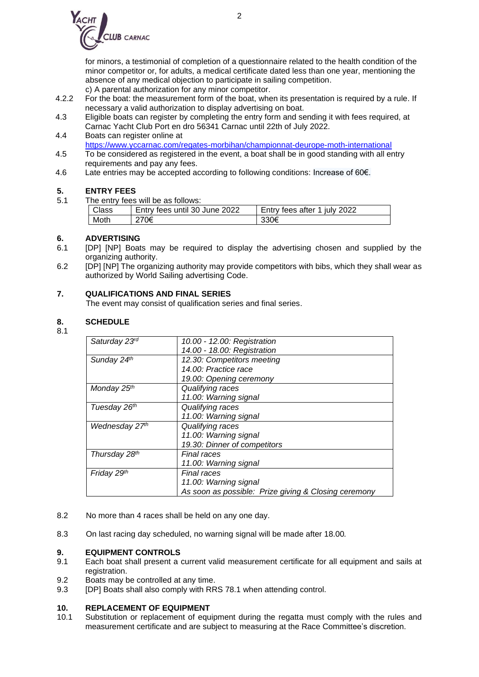

for minors, a testimonial of completion of a questionnaire related to the health condition of the minor competitor or, for adults, a medical certificate dated less than one year, mentioning the absence of any medical objection to participate in sailing competition.

- c) A parental authorization for any minor competitor.
- 4.2.2 For the boat: the measurement form of the boat, when its presentation is required by a rule. If necessary a valid authorization to display advertising on boat.
- 4.3 Eligible boats can register by completing the entry form and sending it with fees required, at Carnac Yacht Club Port en dro 56341 Carnac until 22th of July 2022.
- 4.4 Boats can register online at <https://www.yccarnac.com/regates-morbihan/championnat-deurope-moth-international>
- 4.5 To be considered as registered in the event, a boat shall be in good standing with all entry requirements and pay any fees.
- 4.6 Late entries may be accepted according to following conditions: Increase of 60€.

# **5. ENTRY FEES**

5.1 The entry fees will be as follows:

| Class | Entry fees until 30 June 2022 | Entry fees after 1 july 2022 |
|-------|-------------------------------|------------------------------|
| Moth  | 270€                          | 330€                         |

# **6. ADVERTISING**

- 6.1 [DP] [NP] Boats may be required to display the advertising chosen and supplied by the organizing authority.
- 6.2 [DP] [NP] The organizing authority may provide competitors with bibs, which they shall wear as authorized by World Sailing advertising Code.

# **7. QUALIFICATIONS AND FINAL SERIES**

The event may consist of qualification series and final series.

# **8. SCHEDULE**

8.1

| Saturday 23rd  | 10.00 - 12.00: Registration                          |
|----------------|------------------------------------------------------|
|                | 14.00 - 18.00: Registration                          |
| Sunday 24th    | 12.30: Competitors meeting                           |
|                | 14.00: Practice race                                 |
|                | 19.00: Opening ceremony                              |
| Monday 25th    | Qualifying races                                     |
|                | 11.00: Warning signal                                |
| Tuesday 26th   | Qualifying races                                     |
|                | 11.00: Warning signal                                |
| Wednesday 27th | Qualifying races                                     |
|                | 11.00: Warning signal                                |
|                | 19.30: Dinner of competitors                         |
| Thursday 28th  | <b>Final races</b>                                   |
|                | 11.00: Warning signal                                |
| Friday 29th    | <b>Final races</b>                                   |
|                | 11.00: Warning signal                                |
|                | As soon as possible: Prize giving & Closing ceremony |

- 8.2 No more than 4 races shall be held on any one day.
- 8.3 On last racing day scheduled, no warning signal will be made after 18.00*.*

# **9. EQUIPMENT CONTROLS**

- 9.1 Each boat shall present a current valid measurement certificate for all equipment and sails at registration.
- 9.2 Boats may be controlled at any time.
- 9.3 [DP] Boats shall also comply with RRS 78.1 when attending control.

# **10. REPLACEMENT OF EQUIPMENT**

10.1 Substitution or replacement of equipment during the regatta must comply with the rules and measurement certificate and are subject to measuring at the Race Committee's discretion.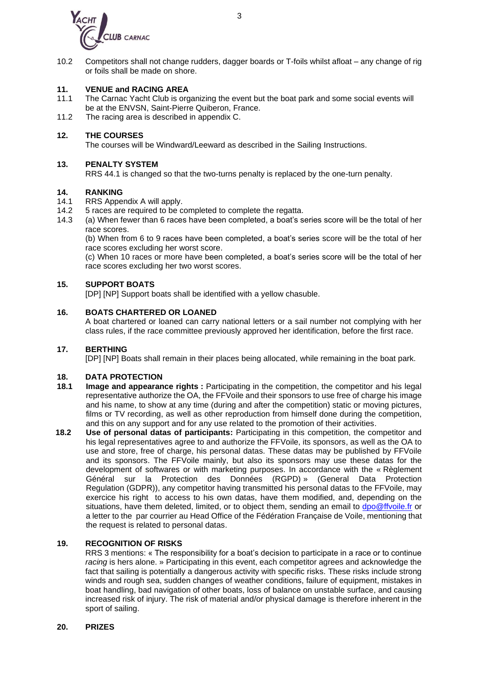

10.2 Competitors shall not change rudders, dagger boards or T-foils whilst afloat – any change of rig or foils shall be made on shore.

#### **11. VENUE and RACING AREA**

- 11.1 The Carnac Yacht Club is organizing the event but the boat park and some social events will be at the ENVSN, Saint-Pierre Quiberon, France.
- 11.2 The racing area is described in appendix C.

#### **12. THE COURSES**

The courses will be Windward/Leeward as described in the Sailing Instructions.

#### **13. PENALTY SYSTEM**

RRS 44.1 is changed so that the two-turns penalty is replaced by the one-turn penalty.

# **14. RANKING**

- 14.1 RRS Appendix A will apply.<br>14.2 5 races are required to be com-
- 5 races are required to be completed to complete the regatta.
- 14.3 (a) When fewer than 6 races have been completed, a boat's series score will be the total of her race scores.

(b) When from 6 to 9 races have been completed, a boat's series score will be the total of her race scores excluding her worst score.

(c) When 10 races or more have been completed, a boat's series score will be the total of her race scores excluding her two worst scores.

#### **15. SUPPORT BOATS**

[DP] [NP] Support boats shall be identified with a yellow chasuble.

### **16. BOATS CHARTERED OR LOANED**

A boat chartered or loaned can carry national letters or a sail number not complying with her class rules, if the race committee previously approved her identification, before the first race.

#### **17. BERTHING**

[DP] [NP] Boats shall remain in their places being allocated, while remaining in the boat park.

#### **18. DATA PROTECTION**

- **18.1 Image and appearance rights** : Participating in the competition, the competitor and his legal representative authorize the OA, the FFVoile and their sponsors to use free of charge his image and his name, to show at any time (during and after the competition) static or moving pictures, films or TV recording, as well as other reproduction from himself done during the competition, and this on any support and for any use related to the promotion of their activities.
- **18.2 Use of personal datas of participants:** Participating in this competition, the competitor and his legal representatives agree to and authorize the FFVoile, its sponsors, as well as the OA to use and store, free of charge, his personal datas. These datas may be published by FFVoile and its sponsors. The FFVoile mainly, but also its sponsors may use these datas for the development of softwares or with marketing purposes. In accordance with the « Règlement Général sur la Protection des Données (RGPD) » (General Data Protection Regulation (GDPR)), any competitor having transmitted his personal datas to the FFVoile, may exercice his right to access to his own datas, have them modified, and, depending on the situations, have them deleted, limited, or to object them, sending an email to [dpo@ffvoile.fr](mailto:dpo@ffvoile.fr) or a letter to the par courrier au Head Office of the Fédération Française de Voile, mentioning that the request is related to personal datas.

#### **19. RECOGNITION OF RISKS**

RRS 3 mentions: « The responsibility for a boat's decision to participate in a race or to continue *racing* is hers alone. » Participating in this event, each competitor agrees and acknowledge the fact that sailing is potentially a dangerous activity with specific risks. These risks include strong winds and rough sea, sudden changes of weather conditions, failure of equipment, mistakes in boat handling, bad navigation of other boats, loss of balance on unstable surface, and causing increased risk of injury. The risk of material and/or physical damage is therefore inherent in the sport of sailing.

#### **20. PRIZES**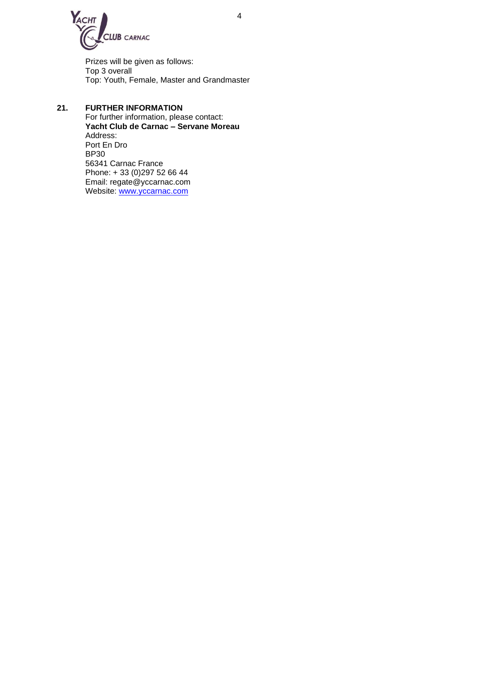

Prizes will be given as follows: Top 3 overall Top: Youth, Female, Master and Grandmaster

# **21. FURTHER INFORMATION**

For further information, please contact: **Yacht Club de Carnac – Servane Moreau** Address: Port En Dro BP30 56341 Carnac France Phone: + 33 (0)297 52 66 44 Email: regate@yccarnac.com Website: [www.yccarnac.com](http://www.yccarnac.com/)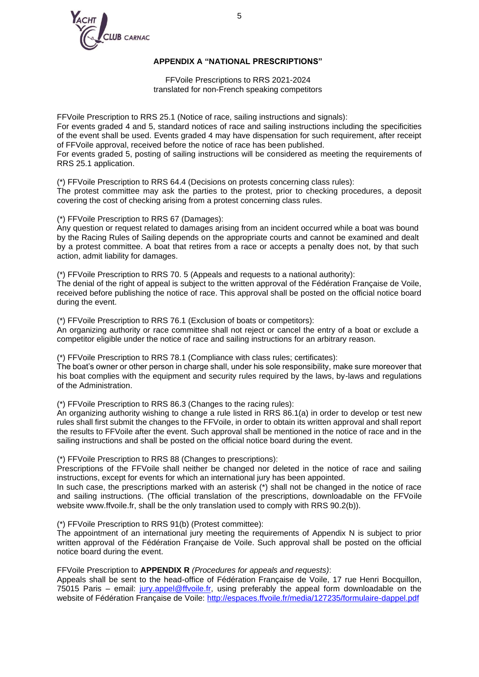

### **APPENDIX A "NATIONAL PRESCRIPTIONS"**

FFVoile Prescriptions to RRS 2021-2024 translated for non-French speaking competitors

FFVoile Prescription to RRS 25.1 (Notice of race, sailing instructions and signals): For events graded 4 and 5, standard notices of race and sailing instructions including the specificities of the event shall be used. Events graded 4 may have dispensation for such requirement, after receipt of FFVoile approval, received before the notice of race has been published. For events graded 5, posting of sailing instructions will be considered as meeting the requirements of RRS 25.1 application.

(\*) FFVoile Prescription to RRS 64.4 (Decisions on protests concerning class rules): The protest committee may ask the parties to the protest, prior to checking procedures, a deposit covering the cost of checking arising from a protest concerning class rules.

(\*) FFVoile Prescription to RRS 67 (Damages):

Any question or request related to damages arising from an incident occurred while a boat was bound by the Racing Rules of Sailing depends on the appropriate courts and cannot be examined and dealt by a protest committee. A boat that retires from a race or accepts a penalty does not, by that such action, admit liability for damages.

(\*) FFVoile Prescription to RRS 70. 5 (Appeals and requests to a national authority): The denial of the right of appeal is subject to the written approval of the Fédération Française de Voile, received before publishing the notice of race. This approval shall be posted on the official notice board during the event.

(\*) FFVoile Prescription to RRS 76.1 (Exclusion of boats or competitors): An organizing authority or race committee shall not reject or cancel the entry of a boat or exclude a competitor eligible under the notice of race and sailing instructions for an arbitrary reason.

(\*) FFVoile Prescription to RRS 78.1 (Compliance with class rules; certificates):

The boat's owner or other person in charge shall, under his sole responsibility, make sure moreover that his boat complies with the equipment and security rules required by the laws, by-laws and regulations of the Administration.

(\*) FFVoile Prescription to RRS 86.3 (Changes to the racing rules):

An organizing authority wishing to change a rule listed in RRS 86.1(a) in order to develop or test new rules shall first submit the changes to the FFVoile, in order to obtain its written approval and shall report the results to FFVoile after the event. Such approval shall be mentioned in the notice of race and in the sailing instructions and shall be posted on the official notice board during the event.

(\*) FFVoile Prescription to RRS 88 (Changes to prescriptions):

Prescriptions of the FFVoile shall neither be changed nor deleted in the notice of race and sailing instructions, except for events for which an international jury has been appointed.

In such case, the prescriptions marked with an asterisk (\*) shall not be changed in the notice of race and sailing instructions. (The official translation of the prescriptions, downloadable on the FFVoile website www.ffvoile.fr, shall be the only translation used to comply with RRS 90.2(b)).

(\*) FFVoile Prescription to RRS 91(b) (Protest committee):

The appointment of an international jury meeting the requirements of Appendix N is subject to prior written approval of the Fédération Française de Voile. Such approval shall be posted on the official notice board during the event.

FFVoile Prescription to **APPENDIX R** *(Procedures for appeals and requests)*:

Appeals shall be sent to the head-office of Fédération Française de Voile, 17 rue Henri Bocquillon, 75015 Paris – email: [jury.appel@ffvoile.fr,](mailto:jury.appel@ffvoile.fr) using preferably the appeal form downloadable on the website of Fédération Française de Voile:<http://espaces.ffvoile.fr/media/127235/formulaire-dappel.pdf>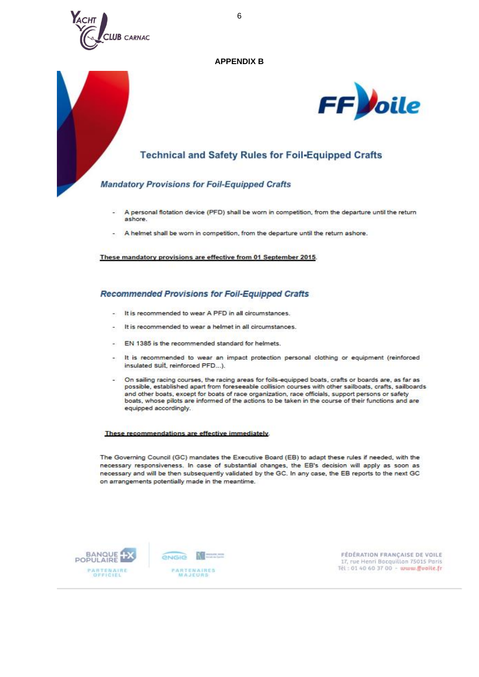

#### **APPENDIX B**



# **Technical and Safety Rules for Foil-Equipped Crafts**

# **Mandatory Provisions for Foil-Equipped Crafts**

- A personal flotation device (PFD) shall be worn in competition, from the departure until the return ashore
- A helmet shall be worn in competition, from the departure until the return ashore.

These mandatory provisions are effective from 01 September 2015.

#### **Recommended Provisions for Foil-Equipped Crafts**

- It is recommended to wear A PFD in all circumstances.
- It is recommended to wear a helmet in all circumstances.
- EN 1385 is the recommended standard for helmets.
- It is recommended to wear an impact protection personal clothing or equipment (reinforced  $\sim 10$ insulated Suit, reinforced PFD...).
- On sailing racing courses, the racing areas for foils-equipped boats, crafts or boards are, as far as possible, established apart from foreseeable collision courses with other sailboats, crafts, sailboards and other boats, except for boats of race organization, race officials, support persons or safety boats, whose pilots are informed of the actions to be taken in the course of their functions and are equipped accordingly.

#### These recommendations are effective immediately.

The Governing Council (GC) mandates the Executive Board (EB) to adapt these rules if needed, with the necessary responsiveness. In case of substantial changes, the EB's decision will apply as soon as necessary and will be then subsequently validated by the GC. In any case, the EB reports to the next GC on arrangements potentially made in the meantime.



FÉDÉRATION FRANÇAISE DE VOILE 17, rue Henri Bocquillon 75015 Paris Tél: 01 40 60 37 00 - www.ffvoite.fr

6